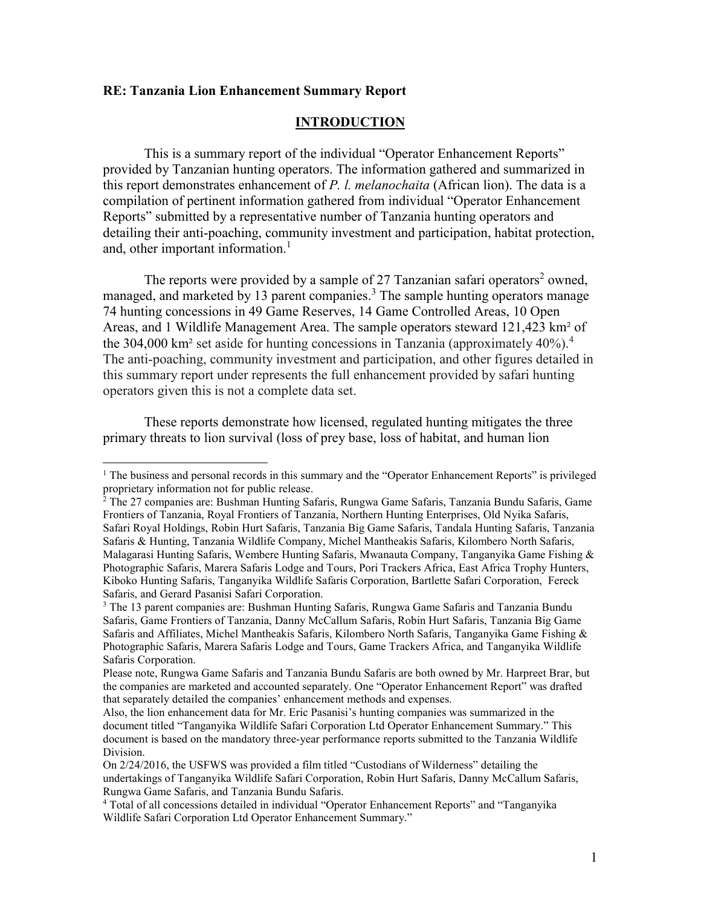#### **RE: Tanzania Lion Enhancement Summary Report**

l

#### **INTRODUCTION**

This is a summary report of the individual "Operator Enhancement Reports" provided by Tanzanian hunting operators. The information gathered and summarized in this report demonstrates enhancement of *P. l. melanochaita* (African lion). The data is a compilation of pertinent information gathered from individual "Operator Enhancement Reports" submitted by a representative number of Tanzania hunting operators and detailing their anti-poaching, community investment and participation, habitat protection, and, other important information.<sup>1</sup>

The reports were provided by a sample of 27 Tanzanian safari operators<sup>2</sup> owned, managed, and marketed by 13 parent companies.<sup>3</sup> The sample hunting operators manage 74 hunting concessions in 49 Game Reserves, 14 Game Controlled Areas, 10 Open Areas, and 1 Wildlife Management Area. The sample operators steward 121,423 km² of the 304,000 km<sup>2</sup> set aside for hunting concessions in Tanzania (approximately  $40\%$ ).<sup>4</sup> The anti-poaching, community investment and participation, and other figures detailed in this summary report under represents the full enhancement provided by safari hunting operators given this is not a complete data set.

These reports demonstrate how licensed, regulated hunting mitigates the three primary threats to lion survival (loss of prey base, loss of habitat, and human lion

<sup>&</sup>lt;sup>1</sup> The business and personal records in this summary and the "Operator Enhancement Reports" is privileged proprietary information not for public release.

<sup>&</sup>lt;sup>2</sup> The 27 companies are: Bushman Hunting Safaris, Rungwa Game Safaris, Tanzania Bundu Safaris, Game Frontiers of Tanzania, Royal Frontiers of Tanzania, Northern Hunting Enterprises, Old Nyika Safaris, Safari Royal Holdings, Robin Hurt Safaris, Tanzania Big Game Safaris, Tandala Hunting Safaris, Tanzania Safaris & Hunting, Tanzania Wildlife Company, Michel Mantheakis Safaris, Kilombero North Safaris, Malagarasi Hunting Safaris, Wembere Hunting Safaris, Mwanauta Company, Tanganyika Game Fishing & Photographic Safaris, Marera Safaris Lodge and Tours, Pori Trackers Africa, East Africa Trophy Hunters, Kiboko Hunting Safaris, Tanganyika Wildlife Safaris Corporation, Bartlette Safari Corporation, Fereck Safaris, and Gerard Pasanisi Safari Corporation.

<sup>3</sup> The 13 parent companies are: Bushman Hunting Safaris, Rungwa Game Safaris and Tanzania Bundu Safaris, Game Frontiers of Tanzania, Danny McCallum Safaris, Robin Hurt Safaris, Tanzania Big Game Safaris and Affiliates, Michel Mantheakis Safaris, Kilombero North Safaris, Tanganyika Game Fishing & Photographic Safaris, Marera Safaris Lodge and Tours, Game Trackers Africa, and Tanganyika Wildlife Safaris Corporation.

Please note, Rungwa Game Safaris and Tanzania Bundu Safaris are both owned by Mr. Harpreet Brar, but the companies are marketed and accounted separately. One "Operator Enhancement Report" was drafted that separately detailed the companies' enhancement methods and expenses.

Also, the lion enhancement data for Mr. Eric Pasanisi's hunting companies was summarized in the document titled "Tanganyika Wildlife Safari Corporation Ltd Operator Enhancement Summary." This document is based on the mandatory three-year performance reports submitted to the Tanzania Wildlife Division.

On 2/24/2016, the USFWS was provided a film titled "Custodians of Wilderness" detailing the undertakings of Tanganyika Wildlife Safari Corporation, Robin Hurt Safaris, Danny McCallum Safaris, Rungwa Game Safaris, and Tanzania Bundu Safaris.

<sup>4</sup> Total of all concessions detailed in individual "Operator Enhancement Reports" and "Tanganyika Wildlife Safari Corporation Ltd Operator Enhancement Summary."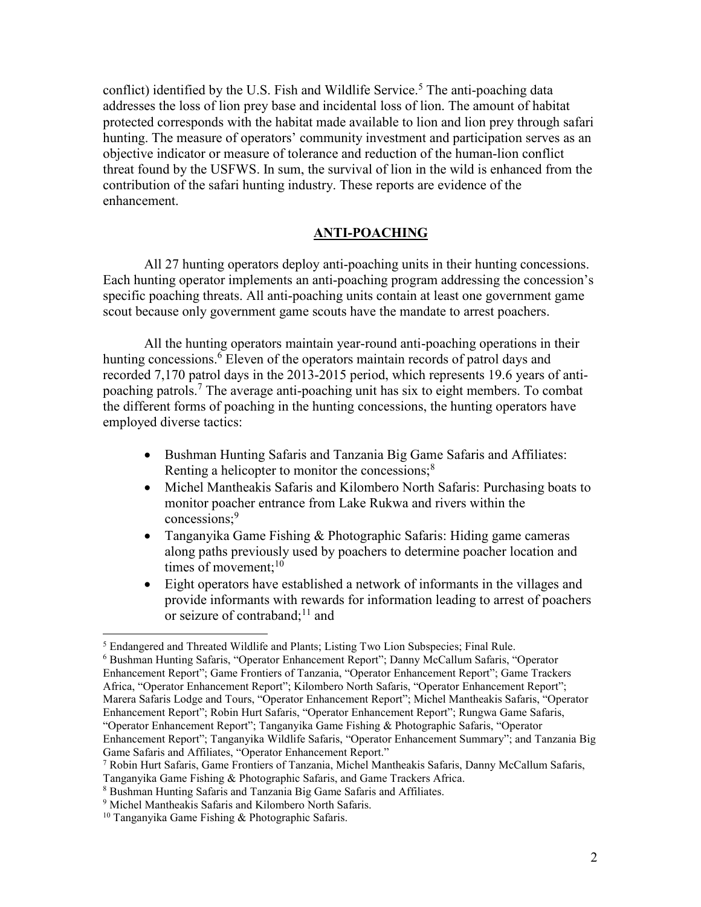conflict) identified by the U.S. Fish and Wildlife Service.<sup>5</sup> The anti-poaching data addresses the loss of lion prey base and incidental loss of lion. The amount of habitat protected corresponds with the habitat made available to lion and lion prey through safari hunting. The measure of operators' community investment and participation serves as an objective indicator or measure of tolerance and reduction of the human-lion conflict threat found by the USFWS. In sum, the survival of lion in the wild is enhanced from the contribution of the safari hunting industry. These reports are evidence of the enhancement.

# **ANTI-POACHING**

All 27 hunting operators deploy anti-poaching units in their hunting concessions. Each hunting operator implements an anti-poaching program addressing the concession's specific poaching threats. All anti-poaching units contain at least one government game scout because only government game scouts have the mandate to arrest poachers.

All the hunting operators maintain year-round anti-poaching operations in their hunting concessions.<sup>6</sup> Eleven of the operators maintain records of patrol days and recorded 7,170 patrol days in the 2013-2015 period, which represents 19.6 years of antipoaching patrols.<sup>7</sup> The average anti-poaching unit has six to eight members. To combat the different forms of poaching in the hunting concessions, the hunting operators have employed diverse tactics:

- Bushman Hunting Safaris and Tanzania Big Game Safaris and Affiliates: Renting a helicopter to monitor the concessions; $\frac{8}{3}$
- Michel Mantheakis Safaris and Kilombero North Safaris: Purchasing boats to monitor poacher entrance from Lake Rukwa and rivers within the concessions:<sup>9</sup>
- Tanganyika Game Fishing & Photographic Safaris: Hiding game cameras along paths previously used by poachers to determine poacher location and times of movement; $^{10}$
- Eight operators have established a network of informants in the villages and provide informants with rewards for information leading to arrest of poachers or seizure of contraband; $^{11}$  and

<sup>&</sup>lt;sup>5</sup> Endangered and Threated Wildlife and Plants; Listing Two Lion Subspecies; Final Rule.

<sup>6</sup> Bushman Hunting Safaris, "Operator Enhancement Report"; Danny McCallum Safaris, "Operator Enhancement Report"; Game Frontiers of Tanzania, "Operator Enhancement Report"; Game Trackers Africa, "Operator Enhancement Report"; Kilombero North Safaris, "Operator Enhancement Report"; Marera Safaris Lodge and Tours, "Operator Enhancement Report"; Michel Mantheakis Safaris, "Operator Enhancement Report"; Robin Hurt Safaris, "Operator Enhancement Report"; Rungwa Game Safaris, "Operator Enhancement Report"; Tanganyika Game Fishing & Photographic Safaris, "Operator Enhancement Report"; Tanganyika Wildlife Safaris, "Operator Enhancement Summary"; and Tanzania Big Game Safaris and Affiliates, "Operator Enhancement Report."

<sup>7</sup> Robin Hurt Safaris, Game Frontiers of Tanzania, Michel Mantheakis Safaris, Danny McCallum Safaris, Tanganyika Game Fishing & Photographic Safaris, and Game Trackers Africa.

<sup>8</sup> Bushman Hunting Safaris and Tanzania Big Game Safaris and Affiliates.

<sup>9</sup> Michel Mantheakis Safaris and Kilombero North Safaris.

 $10$  Tanganyika Game Fishing & Photographic Safaris.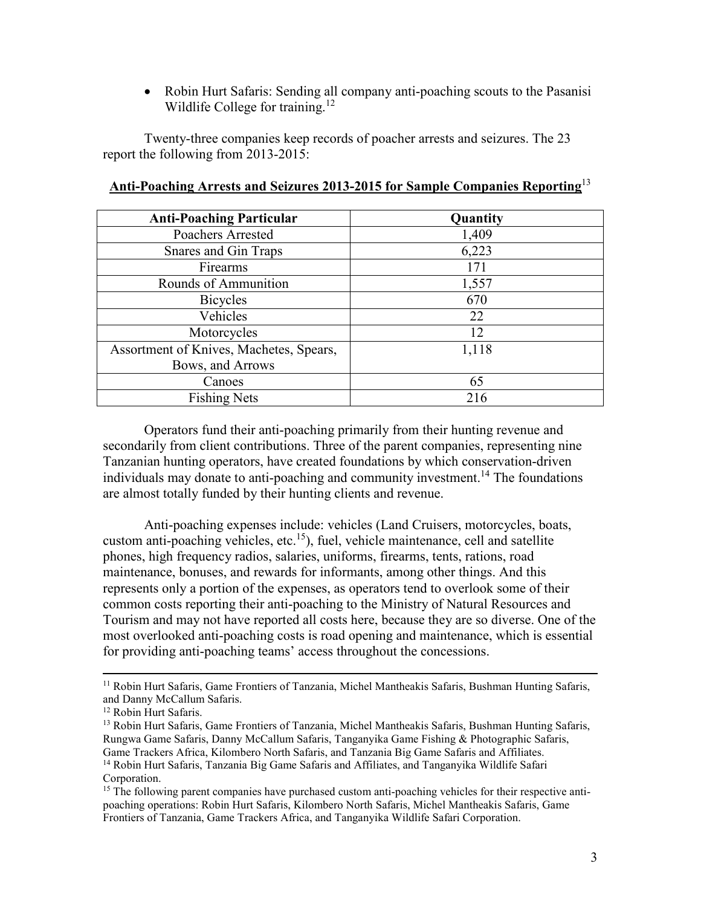• Robin Hurt Safaris: Sending all company anti-poaching scouts to the Pasanisi Wildlife College for training.<sup>12</sup>

Twenty-three companies keep records of poacher arrests and seizures. The 23 report the following from 2013-2015:

| <b>Anti-Poaching Particular</b>         | Quantity |
|-----------------------------------------|----------|
| Poachers Arrested                       | 1,409    |
| Snares and Gin Traps                    | 6,223    |
| Firearms                                | 171      |
| Rounds of Ammunition                    | 1,557    |
| <b>Bicycles</b>                         | 670      |
| Vehicles                                | 22       |
| Motorcycles                             | 12       |
| Assortment of Knives, Machetes, Spears, | 1,118    |
| Bows, and Arrows                        |          |
| Canoes                                  | 65       |
| <b>Fishing Nets</b>                     | 216      |

## **Anti-Poaching Arrests and Seizures 2013-2015 for Sample Companies Reporting**<sup>13</sup>

Operators fund their anti-poaching primarily from their hunting revenue and secondarily from client contributions. Three of the parent companies, representing nine Tanzanian hunting operators, have created foundations by which conservation-driven individuals may donate to anti-poaching and community investment.<sup>14</sup> The foundations are almost totally funded by their hunting clients and revenue.

Anti-poaching expenses include: vehicles (Land Cruisers, motorcycles, boats, custom anti-poaching vehicles, etc.<sup>15</sup>), fuel, vehicle maintenance, cell and satellite phones, high frequency radios, salaries, uniforms, firearms, tents, rations, road maintenance, bonuses, and rewards for informants, among other things. And this represents only a portion of the expenses, as operators tend to overlook some of their common costs reporting their anti-poaching to the Ministry of Natural Resources and Tourism and may not have reported all costs here, because they are so diverse. One of the most overlooked anti-poaching costs is road opening and maintenance, which is essential for providing anti-poaching teams' access throughout the concessions.

<sup>&</sup>lt;sup>11</sup> Robin Hurt Safaris, Game Frontiers of Tanzania, Michel Mantheakis Safaris, Bushman Hunting Safaris, and Danny McCallum Safaris.

<sup>&</sup>lt;sup>12</sup> Robin Hurt Safaris.

<sup>&</sup>lt;sup>13</sup> Robin Hurt Safaris, Game Frontiers of Tanzania, Michel Mantheakis Safaris, Bushman Hunting Safaris, Rungwa Game Safaris, Danny McCallum Safaris, Tanganyika Game Fishing & Photographic Safaris, Game Trackers Africa, Kilombero North Safaris, and Tanzania Big Game Safaris and Affiliates. <sup>14</sup> Robin Hurt Safaris, Tanzania Big Game Safaris and Affiliates, and Tanganyika Wildlife Safari Corporation.

<sup>&</sup>lt;sup>15</sup> The following parent companies have purchased custom anti-poaching vehicles for their respective antipoaching operations: Robin Hurt Safaris, Kilombero North Safaris, Michel Mantheakis Safaris, Game Frontiers of Tanzania, Game Trackers Africa, and Tanganyika Wildlife Safari Corporation.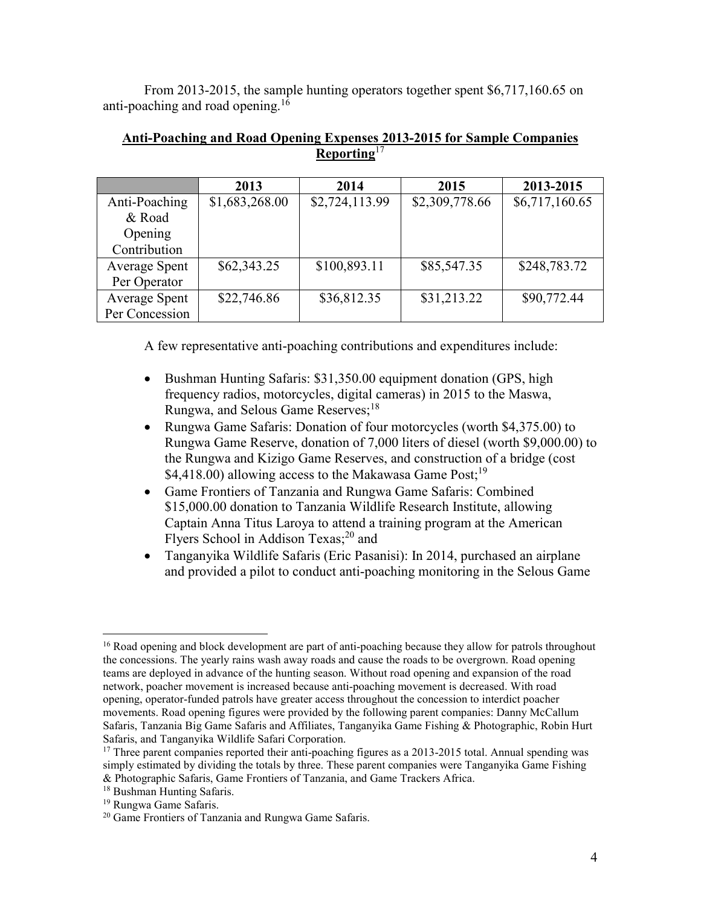From 2013-2015, the sample hunting operators together spent \$6,717,160.65 on anti-poaching and road opening.<sup>16</sup>

|                      | 2013           | 2014           | 2015           | 2013-2015      |
|----------------------|----------------|----------------|----------------|----------------|
| Anti-Poaching        | \$1,683,268.00 | \$2,724,113.99 | \$2,309,778.66 | \$6,717,160.65 |
| & Road               |                |                |                |                |
| Opening              |                |                |                |                |
| Contribution         |                |                |                |                |
| Average Spent        | \$62,343.25    | \$100,893.11   | \$85,547.35    | \$248,783.72   |
| Per Operator         |                |                |                |                |
| <b>Average Spent</b> | \$22,746.86    | \$36,812.35    | \$31,213.22    | \$90,772.44    |
| Per Concession       |                |                |                |                |

# **Anti-Poaching and Road Opening Expenses 2013-2015 for Sample Companies Reporting**<sup>17</sup>

A few representative anti-poaching contributions and expenditures include:

- Bushman Hunting Safaris: \$31,350.00 equipment donation (GPS, high frequency radios, motorcycles, digital cameras) in 2015 to the Maswa, Rungwa, and Selous Game Reserves;<sup>18</sup>
- Rungwa Game Safaris: Donation of four motorcycles (worth \$4,375.00) to Rungwa Game Reserve, donation of 7,000 liters of diesel (worth \$9,000.00) to the Rungwa and Kizigo Game Reserves, and construction of a bridge (cost \$4,418.00) allowing access to the Makawasa Game Post;<sup>19</sup>
- Game Frontiers of Tanzania and Rungwa Game Safaris: Combined \$15,000.00 donation to Tanzania Wildlife Research Institute, allowing Captain Anna Titus Laroya to attend a training program at the American Flyers School in Addison Texas;<sup>20</sup> and
- Tanganyika Wildlife Safaris (Eric Pasanisi): In 2014, purchased an airplane and provided a pilot to conduct anti-poaching monitoring in the Selous Game

- <sup>18</sup> Bushman Hunting Safaris.
- <sup>19</sup> Rungwa Game Safaris.

<sup>&</sup>lt;sup>16</sup> Road opening and block development are part of anti-poaching because they allow for patrols throughout the concessions. The yearly rains wash away roads and cause the roads to be overgrown. Road opening teams are deployed in advance of the hunting season. Without road opening and expansion of the road network, poacher movement is increased because anti-poaching movement is decreased. With road opening, operator-funded patrols have greater access throughout the concession to interdict poacher movements. Road opening figures were provided by the following parent companies: Danny McCallum Safaris, Tanzania Big Game Safaris and Affiliates, Tanganyika Game Fishing & Photographic, Robin Hurt Safaris, and Tanganyika Wildlife Safari Corporation.

 $17$  Three parent companies reported their anti-poaching figures as a 2013-2015 total. Annual spending was simply estimated by dividing the totals by three. These parent companies were Tanganyika Game Fishing & Photographic Safaris, Game Frontiers of Tanzania, and Game Trackers Africa.

<sup>&</sup>lt;sup>20</sup> Game Frontiers of Tanzania and Rungwa Game Safaris.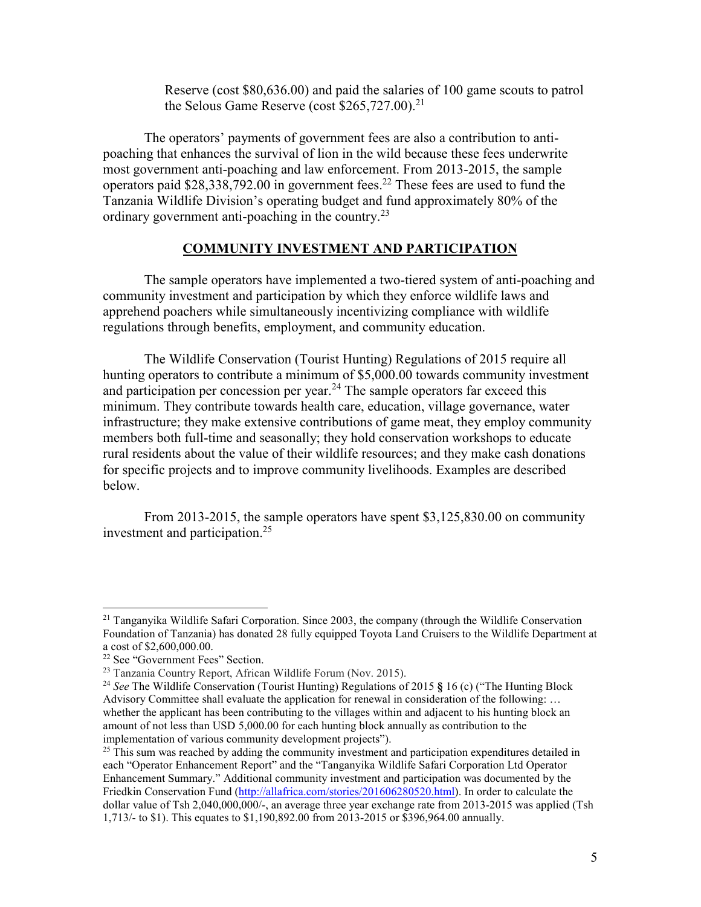Reserve (cost \$80,636.00) and paid the salaries of 100 game scouts to patrol the Selous Game Reserve (cost  $$265,727.00$ ).<sup>21</sup>

The operators' payments of government fees are also a contribution to antipoaching that enhances the survival of lion in the wild because these fees underwrite most government anti-poaching and law enforcement. From 2013-2015, the sample operators paid  $$28,338,792.00$  in government fees.<sup>22</sup> These fees are used to fund the Tanzania Wildlife Division's operating budget and fund approximately 80% of the ordinary government anti-poaching in the country.<sup>23</sup>

## **COMMUNITY INVESTMENT AND PARTICIPATION**

The sample operators have implemented a two-tiered system of anti-poaching and community investment and participation by which they enforce wildlife laws and apprehend poachers while simultaneously incentivizing compliance with wildlife regulations through benefits, employment, and community education.

The Wildlife Conservation (Tourist Hunting) Regulations of 2015 require all hunting operators to contribute a minimum of \$5,000.00 towards community investment and participation per concession per year.<sup>24</sup> The sample operators far exceed this minimum. They contribute towards health care, education, village governance, water infrastructure; they make extensive contributions of game meat, they employ community members both full-time and seasonally; they hold conservation workshops to educate rural residents about the value of their wildlife resources; and they make cash donations for specific projects and to improve community livelihoods. Examples are described below.

From 2013-2015, the sample operators have spent \$3,125,830.00 on community investment and participation.<sup>25</sup>

 $^{21}$  Tanganyika Wildlife Safari Corporation. Since 2003, the company (through the Wildlife Conservation Foundation of Tanzania) has donated 28 fully equipped Toyota Land Cruisers to the Wildlife Department at a cost of \$2,600,000.00.

<sup>22</sup> See "Government Fees" Section.

<sup>23</sup> Tanzania Country Report, African Wildlife Forum (Nov. 2015).

<sup>24</sup> *See* The Wildlife Conservation (Tourist Hunting) Regulations of 2015 **§** 16 (c) ("The Hunting Block Advisory Committee shall evaluate the application for renewal in consideration of the following: … whether the applicant has been contributing to the villages within and adjacent to his hunting block an amount of not less than USD 5,000.00 for each hunting block annually as contribution to the implementation of various community development projects").

 $^{25}$  This sum was reached by adding the community investment and participation expenditures detailed in each "Operator Enhancement Report" and the "Tanganyika Wildlife Safari Corporation Ltd Operator Enhancement Summary." Additional community investment and participation was documented by the Friedkin Conservation Fund (http://allafrica.com/stories/201606280520.html). In order to calculate the dollar value of Tsh 2,040,000,000/-, an average three year exchange rate from 2013-2015 was applied (Tsh 1,713/- to \$1). This equates to \$1,190,892.00 from 2013-2015 or \$396,964.00 annually.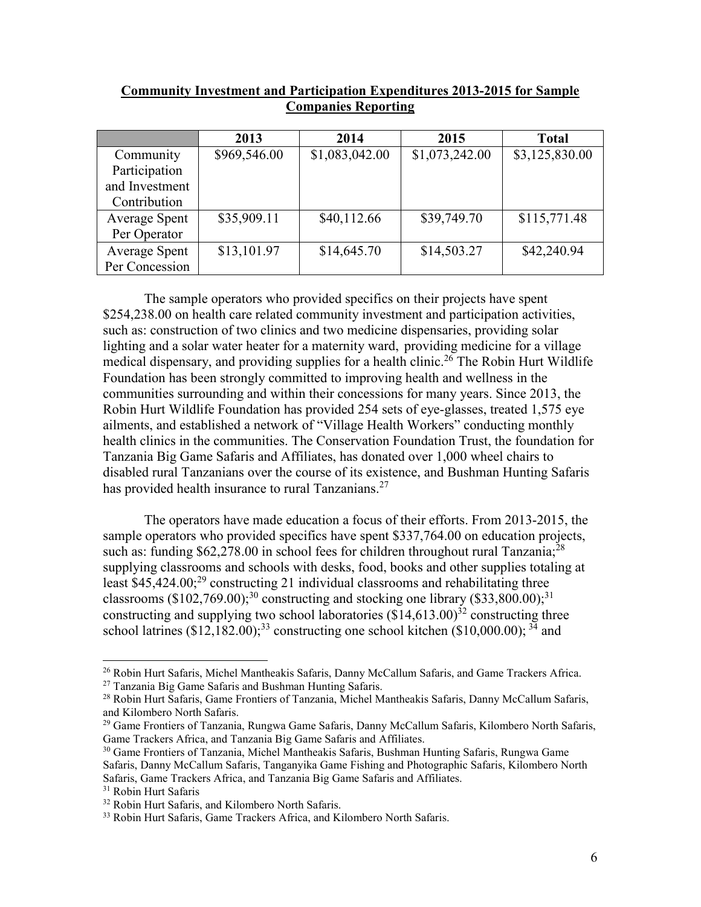| <b>Community Investment and Participation Expenditures 2013-2015 for Sample</b> |
|---------------------------------------------------------------------------------|
| <b>Companies Reporting</b>                                                      |

|                      | 2013         | 2014           | 2015           | <b>Total</b>   |
|----------------------|--------------|----------------|----------------|----------------|
| Community            | \$969,546.00 | \$1,083,042.00 | \$1,073,242.00 | \$3,125,830.00 |
| Participation        |              |                |                |                |
| and Investment       |              |                |                |                |
| Contribution         |              |                |                |                |
| <b>Average Spent</b> | \$35,909.11  | \$40,112.66    | \$39,749.70    | \$115,771.48   |
| Per Operator         |              |                |                |                |
| <b>Average Spent</b> | \$13,101.97  | \$14,645.70    | \$14,503.27    | \$42,240.94    |
| Per Concession       |              |                |                |                |

 The sample operators who provided specifics on their projects have spent \$254,238.00 on health care related community investment and participation activities, such as: construction of two clinics and two medicine dispensaries, providing solar lighting and a solar water heater for a maternity ward, providing medicine for a village medical dispensary, and providing supplies for a health clinic.<sup>26</sup> The Robin Hurt Wildlife Foundation has been strongly committed to improving health and wellness in the communities surrounding and within their concessions for many years. Since 2013, the Robin Hurt Wildlife Foundation has provided 254 sets of eye-glasses, treated 1,575 eye ailments, and established a network of "Village Health Workers" conducting monthly health clinics in the communities. The Conservation Foundation Trust, the foundation for Tanzania Big Game Safaris and Affiliates, has donated over 1,000 wheel chairs to disabled rural Tanzanians over the course of its existence, and Bushman Hunting Safaris has provided health insurance to rural Tanzanians.<sup>27</sup>

 The operators have made education a focus of their efforts. From 2013-2015, the sample operators who provided specifics have spent \$337,764.00 on education projects, such as: funding \$62,278.00 in school fees for children throughout rural Tanzania;<sup>28</sup> supplying classrooms and schools with desks, food, books and other supplies totaling at least  $$45,424.00;^{29}$  constructing 21 individual classrooms and rehabilitating three classrooms (\$102,769.00);<sup>30</sup> constructing and stocking one library (\$33,800.00);<sup>31</sup> constructing and supplying two school laboratories  $(\overline{$}14,613.00)^{32}$  constructing three school latrines  $(\$12,182.00);^{33}$  constructing one school kitchen  $(\$10,000.00);^{34}$  and

l

<sup>26</sup> Robin Hurt Safaris, Michel Mantheakis Safaris, Danny McCallum Safaris, and Game Trackers Africa.

 $27$  Tanzania Big Game Safaris and Bushman Hunting Safaris.

<sup>&</sup>lt;sup>28</sup> Robin Hurt Safaris, Game Frontiers of Tanzania, Michel Mantheakis Safaris, Danny McCallum Safaris, and Kilombero North Safaris.

<sup>&</sup>lt;sup>29</sup> Game Frontiers of Tanzania, Rungwa Game Safaris, Danny McCallum Safaris, Kilombero North Safaris, Game Trackers Africa, and Tanzania Big Game Safaris and Affiliates.

<sup>30</sup> Game Frontiers of Tanzania, Michel Mantheakis Safaris, Bushman Hunting Safaris, Rungwa Game Safaris, Danny McCallum Safaris, Tanganyika Game Fishing and Photographic Safaris, Kilombero North Safaris, Game Trackers Africa, and Tanzania Big Game Safaris and Affiliates.

<sup>31</sup> Robin Hurt Safaris

<sup>&</sup>lt;sup>32</sup> Robin Hurt Safaris, and Kilombero North Safaris.

<sup>&</sup>lt;sup>33</sup> Robin Hurt Safaris, Game Trackers Africa, and Kilombero North Safaris.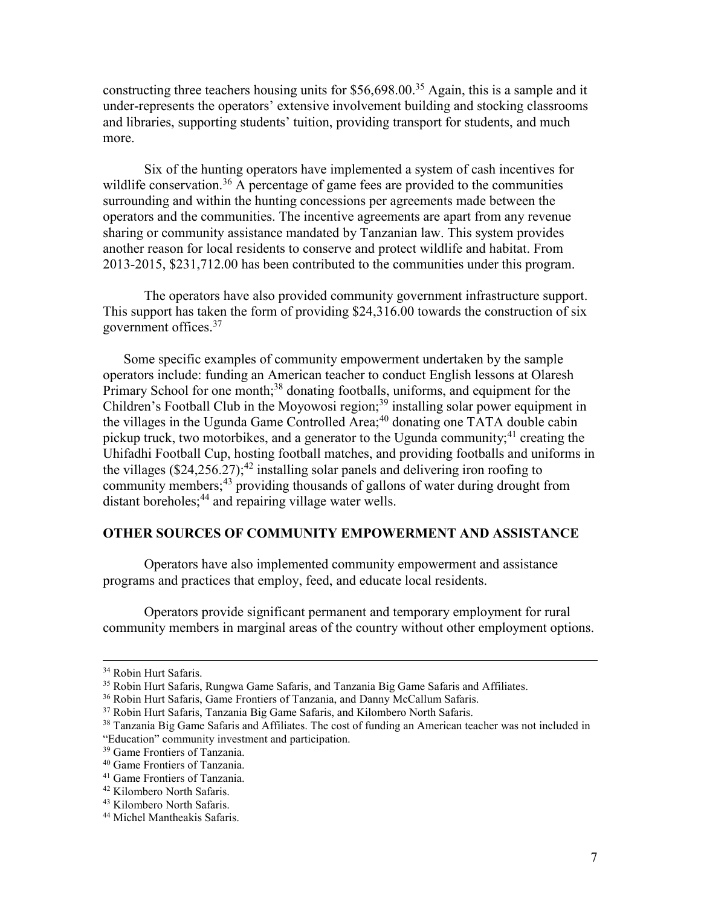constructing three teachers housing units for \$56,698.00.<sup>35</sup> Again, this is a sample and it under-represents the operators' extensive involvement building and stocking classrooms and libraries, supporting students' tuition, providing transport for students, and much more.

 Six of the hunting operators have implemented a system of cash incentives for wildlife conservation.<sup>36</sup> A percentage of game fees are provided to the communities surrounding and within the hunting concessions per agreements made between the operators and the communities. The incentive agreements are apart from any revenue sharing or community assistance mandated by Tanzanian law. This system provides another reason for local residents to conserve and protect wildlife and habitat. From 2013-2015, \$231,712.00 has been contributed to the communities under this program.

 The operators have also provided community government infrastructure support. This support has taken the form of providing \$24,316.00 towards the construction of six government offices.<sup>37</sup>

Some specific examples of community empowerment undertaken by the sample operators include: funding an American teacher to conduct English lessons at Olaresh Primary School for one month;<sup>38</sup> donating footballs, uniforms, and equipment for the Children's Football Club in the Moyowosi region;<sup>39</sup> installing solar power equipment in the villages in the Ugunda Game Controlled Area;<sup>40</sup> donating one TATA double cabin pickup truck, two motorbikes, and a generator to the Ugunda community;<sup>41</sup> creating the Uhifadhi Football Cup, hosting football matches, and providing footballs and uniforms in the villages  $(\$24,256.27)$ ;<sup>42</sup> installing solar panels and delivering iron roofing to community members;<sup>43</sup> providing thousands of gallons of water during drought from distant boreholes;<sup>44</sup> and repairing village water wells.

# **OTHER SOURCES OF COMMUNITY EMPOWERMENT AND ASSISTANCE**

Operators have also implemented community empowerment and assistance programs and practices that employ, feed, and educate local residents.

Operators provide significant permanent and temporary employment for rural community members in marginal areas of the country without other employment options.

<sup>34</sup> Robin Hurt Safaris.

<sup>&</sup>lt;sup>35</sup> Robin Hurt Safaris, Rungwa Game Safaris, and Tanzania Big Game Safaris and Affiliates.

<sup>36</sup> Robin Hurt Safaris, Game Frontiers of Tanzania, and Danny McCallum Safaris.

<sup>&</sup>lt;sup>37</sup> Robin Hurt Safaris, Tanzania Big Game Safaris, and Kilombero North Safaris.

<sup>&</sup>lt;sup>38</sup> Tanzania Big Game Safaris and Affiliates. The cost of funding an American teacher was not included in "Education" community investment and participation.

<sup>39</sup> Game Frontiers of Tanzania.

<sup>40</sup> Game Frontiers of Tanzania.

<sup>41</sup> Game Frontiers of Tanzania.

<sup>42</sup> Kilombero North Safaris.

<sup>43</sup> Kilombero North Safaris.

<sup>44</sup> Michel Mantheakis Safaris.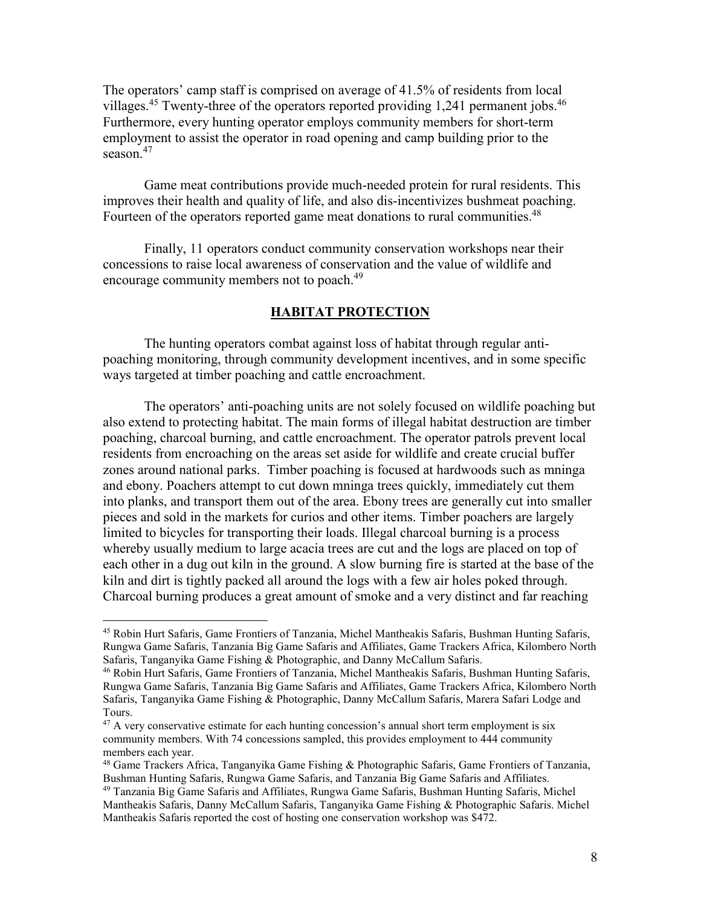The operators' camp staff is comprised on average of 41.5% of residents from local villages.<sup>45</sup> Twenty-three of the operators reported providing 1,241 permanent jobs.<sup>46</sup> Furthermore, every hunting operator employs community members for short-term employment to assist the operator in road opening and camp building prior to the season.<sup>47</sup>

Game meat contributions provide much-needed protein for rural residents. This improves their health and quality of life, and also dis-incentivizes bushmeat poaching. Fourteen of the operators reported game meat donations to rural communities.<sup>48</sup>

Finally, 11 operators conduct community conservation workshops near their concessions to raise local awareness of conservation and the value of wildlife and encourage community members not to poach.<sup>49</sup>

# **HABITAT PROTECTION**

 The hunting operators combat against loss of habitat through regular antipoaching monitoring, through community development incentives, and in some specific ways targeted at timber poaching and cattle encroachment.

 The operators' anti-poaching units are not solely focused on wildlife poaching but also extend to protecting habitat. The main forms of illegal habitat destruction are timber poaching, charcoal burning, and cattle encroachment. The operator patrols prevent local residents from encroaching on the areas set aside for wildlife and create crucial buffer zones around national parks. Timber poaching is focused at hardwoods such as mninga and ebony. Poachers attempt to cut down mninga trees quickly, immediately cut them into planks, and transport them out of the area. Ebony trees are generally cut into smaller pieces and sold in the markets for curios and other items. Timber poachers are largely limited to bicycles for transporting their loads. Illegal charcoal burning is a process whereby usually medium to large acacia trees are cut and the logs are placed on top of each other in a dug out kiln in the ground. A slow burning fire is started at the base of the kiln and dirt is tightly packed all around the logs with a few air holes poked through. Charcoal burning produces a great amount of smoke and a very distinct and far reaching

<sup>45</sup> Robin Hurt Safaris, Game Frontiers of Tanzania, Michel Mantheakis Safaris, Bushman Hunting Safaris, Rungwa Game Safaris, Tanzania Big Game Safaris and Affiliates, Game Trackers Africa, Kilombero North Safaris, Tanganyika Game Fishing & Photographic, and Danny McCallum Safaris.

<sup>46</sup> Robin Hurt Safaris, Game Frontiers of Tanzania, Michel Mantheakis Safaris, Bushman Hunting Safaris, Rungwa Game Safaris, Tanzania Big Game Safaris and Affiliates, Game Trackers Africa, Kilombero North Safaris, Tanganyika Game Fishing & Photographic, Danny McCallum Safaris, Marera Safari Lodge and Tours.

 $^{47}$  A very conservative estimate for each hunting concession's annual short term employment is six community members. With 74 concessions sampled, this provides employment to 444 community members each year.

<sup>48</sup> Game Trackers Africa, Tanganyika Game Fishing & Photographic Safaris, Game Frontiers of Tanzania, Bushman Hunting Safaris, Rungwa Game Safaris, and Tanzania Big Game Safaris and Affiliates.

<sup>&</sup>lt;sup>49</sup> Tanzania Big Game Safaris and Affiliates, Rungwa Game Safaris, Bushman Hunting Safaris, Michel Mantheakis Safaris, Danny McCallum Safaris, Tanganyika Game Fishing & Photographic Safaris. Michel Mantheakis Safaris reported the cost of hosting one conservation workshop was \$472.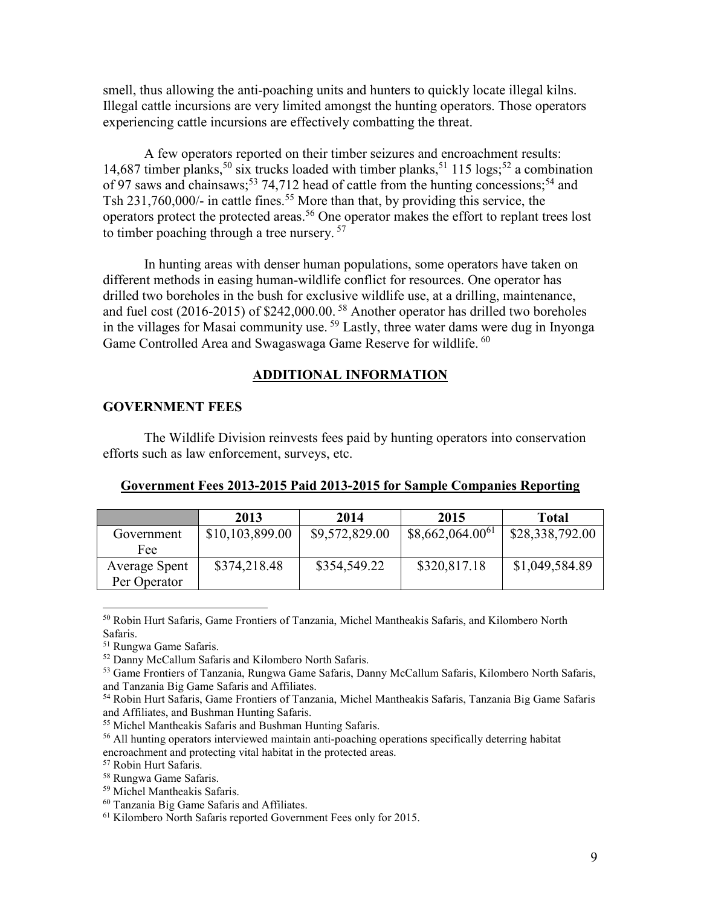smell, thus allowing the anti-poaching units and hunters to quickly locate illegal kilns. Illegal cattle incursions are very limited amongst the hunting operators. Those operators experiencing cattle incursions are effectively combatting the threat.

A few operators reported on their timber seizures and encroachment results: 14,687 timber planks,<sup>50</sup> six trucks loaded with timber planks,<sup>51</sup> 115 logs;<sup>52</sup> a combination of 97 saws and chainsaws;<sup>53</sup> 74,712 head of cattle from the hunting concessions;<sup>54</sup> and Tsh 231,760,000/- in cattle fines.<sup>55</sup> More than that, by providing this service, the operators protect the protected areas.<sup>56</sup> One operator makes the effort to replant trees lost to timber poaching through a tree nursery.<sup>57</sup>

In hunting areas with denser human populations, some operators have taken on different methods in easing human-wildlife conflict for resources. One operator has drilled two boreholes in the bush for exclusive wildlife use, at a drilling, maintenance, and fuel cost (2016-2015) of \$242,000.00.<sup>58</sup> Another operator has drilled two boreholes in the villages for Masai community use.<sup>59</sup> Lastly, three water dams were dug in Inyonga Game Controlled Area and Swagaswaga Game Reserve for wildlife. <sup>60</sup>

## **ADDITIONAL INFORMATION**

#### **GOVERNMENT FEES**

The Wildlife Division reinvests fees paid by hunting operators into conservation efforts such as law enforcement, surveys, etc.

|               | 2013            | 2014           | 2015                 | <b>Total</b>    |
|---------------|-----------------|----------------|----------------------|-----------------|
| Government    | \$10,103,899.00 | \$9,572,829.00 | $$8,662,064.00^{61}$ | \$28,338,792.00 |
| Fee           |                 |                |                      |                 |
| Average Spent | \$374,218.48    | \$354,549.22   | \$320,817.18         | \$1,049,584.89  |
| Per Operator  |                 |                |                      |                 |

<sup>50</sup> Robin Hurt Safaris, Game Frontiers of Tanzania, Michel Mantheakis Safaris, and Kilombero North Safaris.

<sup>51</sup> Rungwa Game Safaris.

 $\overline{a}$ 

<sup>52</sup> Danny McCallum Safaris and Kilombero North Safaris.

<sup>53</sup> Game Frontiers of Tanzania, Rungwa Game Safaris, Danny McCallum Safaris, Kilombero North Safaris, and Tanzania Big Game Safaris and Affiliates.

<sup>54</sup> Robin Hurt Safaris, Game Frontiers of Tanzania, Michel Mantheakis Safaris, Tanzania Big Game Safaris and Affiliates, and Bushman Hunting Safaris.

<sup>55</sup> Michel Mantheakis Safaris and Bushman Hunting Safaris.

<sup>56</sup> All hunting operators interviewed maintain anti-poaching operations specifically deterring habitat encroachment and protecting vital habitat in the protected areas.

<sup>57</sup> Robin Hurt Safaris.

<sup>58</sup> Rungwa Game Safaris.

<sup>59</sup> Michel Mantheakis Safaris.

<sup>60</sup> Tanzania Big Game Safaris and Affiliates.

<sup>61</sup> Kilombero North Safaris reported Government Fees only for 2015.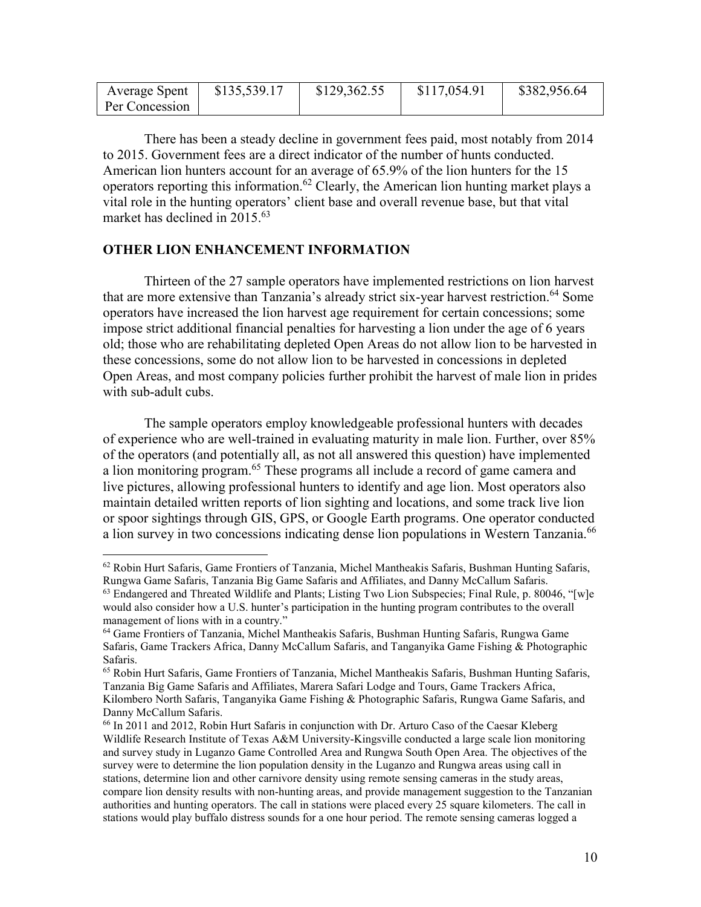| Average Spent  | \$135,539.17 | \$129,362.55 | \$117,054.91 | \$382,956.64 |
|----------------|--------------|--------------|--------------|--------------|
| Per Concession |              |              |              |              |

 There has been a steady decline in government fees paid, most notably from 2014 to 2015. Government fees are a direct indicator of the number of hunts conducted. American lion hunters account for an average of 65.9% of the lion hunters for the 15 operators reporting this information.<sup>62</sup> Clearly, the American lion hunting market plays a vital role in the hunting operators' client base and overall revenue base, but that vital market has declined in  $2015^{63}$ 

## **OTHER LION ENHANCEMENT INFORMATION**

 $\overline{a}$ 

Thirteen of the 27 sample operators have implemented restrictions on lion harvest that are more extensive than Tanzania's already strict six-year harvest restriction.<sup>64</sup> Some operators have increased the lion harvest age requirement for certain concessions; some impose strict additional financial penalties for harvesting a lion under the age of 6 years old; those who are rehabilitating depleted Open Areas do not allow lion to be harvested in these concessions, some do not allow lion to be harvested in concessions in depleted Open Areas, and most company policies further prohibit the harvest of male lion in prides with sub-adult cubs.

The sample operators employ knowledgeable professional hunters with decades of experience who are well-trained in evaluating maturity in male lion. Further, over 85% of the operators (and potentially all, as not all answered this question) have implemented a lion monitoring program.<sup>65</sup> These programs all include a record of game camera and live pictures, allowing professional hunters to identify and age lion. Most operators also maintain detailed written reports of lion sighting and locations, and some track live lion or spoor sightings through GIS, GPS, or Google Earth programs. One operator conducted a lion survey in two concessions indicating dense lion populations in Western Tanzania.<sup>66</sup>

<sup>62</sup> Robin Hurt Safaris, Game Frontiers of Tanzania, Michel Mantheakis Safaris, Bushman Hunting Safaris, Rungwa Game Safaris, Tanzania Big Game Safaris and Affiliates, and Danny McCallum Safaris.

 $63$  Endangered and Threated Wildlife and Plants; Listing Two Lion Subspecies; Final Rule, p. 80046, "[w]e would also consider how a U.S. hunter's participation in the hunting program contributes to the overall management of lions with in a country."

<sup>64</sup> Game Frontiers of Tanzania, Michel Mantheakis Safaris, Bushman Hunting Safaris, Rungwa Game Safaris, Game Trackers Africa, Danny McCallum Safaris, and Tanganyika Game Fishing & Photographic Safaris.

<sup>65</sup> Robin Hurt Safaris, Game Frontiers of Tanzania, Michel Mantheakis Safaris, Bushman Hunting Safaris, Tanzania Big Game Safaris and Affiliates, Marera Safari Lodge and Tours, Game Trackers Africa, Kilombero North Safaris, Tanganyika Game Fishing & Photographic Safaris, Rungwa Game Safaris, and Danny McCallum Safaris.

<sup>66</sup> In 2011 and 2012, Robin Hurt Safaris in conjunction with Dr. Arturo Caso of the Caesar Kleberg Wildlife Research Institute of Texas A&M University-Kingsville conducted a large scale lion monitoring and survey study in Luganzo Game Controlled Area and Rungwa South Open Area. The objectives of the survey were to determine the lion population density in the Luganzo and Rungwa areas using call in stations, determine lion and other carnivore density using remote sensing cameras in the study areas, compare lion density results with non-hunting areas, and provide management suggestion to the Tanzanian authorities and hunting operators. The call in stations were placed every 25 square kilometers. The call in stations would play buffalo distress sounds for a one hour period. The remote sensing cameras logged a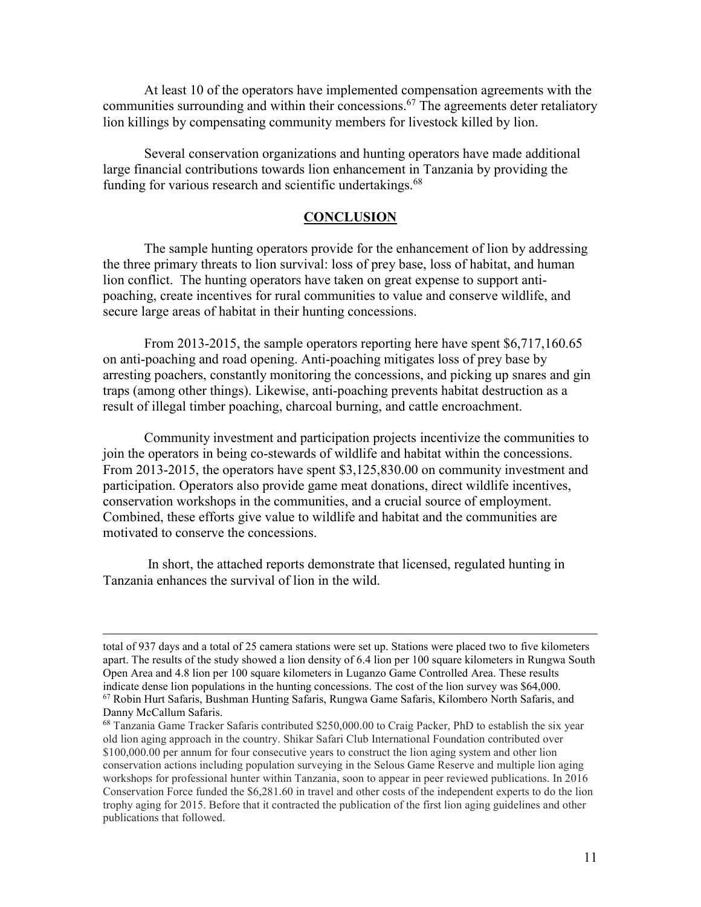At least 10 of the operators have implemented compensation agreements with the communities surrounding and within their concessions.<sup>67</sup> The agreements deter retaliatory lion killings by compensating community members for livestock killed by lion.

 Several conservation organizations and hunting operators have made additional large financial contributions towards lion enhancement in Tanzania by providing the funding for various research and scientific undertakings.<sup>68</sup>

## **CONCLUSION**

 The sample hunting operators provide for the enhancement of lion by addressing the three primary threats to lion survival: loss of prey base, loss of habitat, and human lion conflict. The hunting operators have taken on great expense to support antipoaching, create incentives for rural communities to value and conserve wildlife, and secure large areas of habitat in their hunting concessions.

 From 2013-2015, the sample operators reporting here have spent \$6,717,160.65 on anti-poaching and road opening. Anti-poaching mitigates loss of prey base by arresting poachers, constantly monitoring the concessions, and picking up snares and gin traps (among other things). Likewise, anti-poaching prevents habitat destruction as a result of illegal timber poaching, charcoal burning, and cattle encroachment.

 Community investment and participation projects incentivize the communities to join the operators in being co-stewards of wildlife and habitat within the concessions. From 2013-2015, the operators have spent \$3,125,830.00 on community investment and participation. Operators also provide game meat donations, direct wildlife incentives, conservation workshops in the communities, and a crucial source of employment. Combined, these efforts give value to wildlife and habitat and the communities are motivated to conserve the concessions.

 In short, the attached reports demonstrate that licensed, regulated hunting in Tanzania enhances the survival of lion in the wild.

total of 937 days and a total of 25 camera stations were set up. Stations were placed two to five kilometers apart. The results of the study showed a lion density of 6.4 lion per 100 square kilometers in Rungwa South Open Area and 4.8 lion per 100 square kilometers in Luganzo Game Controlled Area. These results indicate dense lion populations in the hunting concessions. The cost of the lion survey was \$64,000. <sup>67</sup> Robin Hurt Safaris, Bushman Hunting Safaris, Rungwa Game Safaris, Kilombero North Safaris, and Danny McCallum Safaris.

 $^{68}$  Tanzania Game Tracker Safaris contributed \$250,000.00 to Craig Packer, PhD to establish the six year old lion aging approach in the country. Shikar Safari Club International Foundation contributed over \$100,000.00 per annum for four consecutive years to construct the lion aging system and other lion conservation actions including population surveying in the Selous Game Reserve and multiple lion aging workshops for professional hunter within Tanzania, soon to appear in peer reviewed publications. In 2016 Conservation Force funded the \$6,281.60 in travel and other costs of the independent experts to do the lion trophy aging for 2015. Before that it contracted the publication of the first lion aging guidelines and other publications that followed.